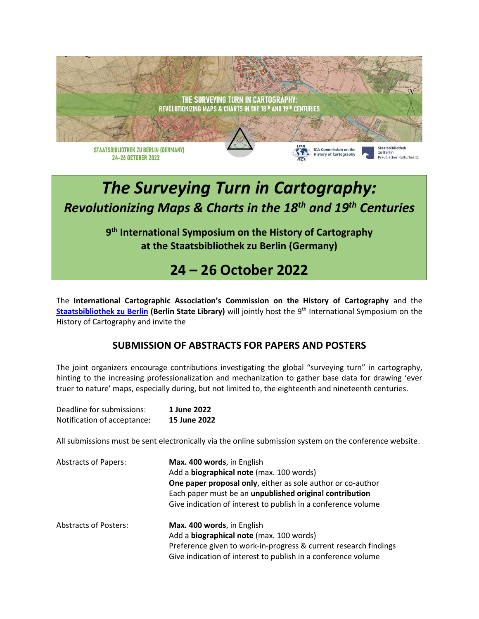

## *The Surveying Turn in Cartography: Revolutionizing Maps & Charts in the 18th and 19th Centuries*

**9 th International Symposium on the History of Cartography at the Staatsbibliothek zu Berlin (Germany)**

## **24 – 26 October 2022**

The **International Cartographic Association's Commission on the History of Cartography** and the **[Staatsbibliothek zu Berlin](https://staatsbibliothek-berlin.de/en/) (Berlin State Library)** will jointly host the 9 th International Symposium on the History of Cartography and invite the

## **SUBMISSION OF ABSTRACTS FOR PAPERS AND POSTERS**

The joint organizers encourage contributions investigating the global "surveying turn" in cartography, hinting to the increasing professionalization and mechanization to gather base data for drawing 'ever truer to nature' maps, especially during, but not limited to, the eighteenth and nineteenth centuries.

| Deadline for submissions:   | 1 June 2022  |
|-----------------------------|--------------|
| Notification of acceptance: | 15 June 2022 |

All submissions must be sent electronically via the online submission system on the conference website.

| <b>Abstracts of Papers:</b>  | Max. 400 words, in English<br>Add a biographical note (max. 100 words)<br>One paper proposal only, either as sole author or co-author<br>Each paper must be an unpublished original contribution<br>Give indication of interest to publish in a conference volume |
|------------------------------|-------------------------------------------------------------------------------------------------------------------------------------------------------------------------------------------------------------------------------------------------------------------|
| <b>Abstracts of Posters:</b> | Max. 400 words, in English<br>Add a biographical note (max. 100 words)<br>Preference given to work-in-progress & current research findings<br>Give indication of interest to publish in a conference volume                                                       |